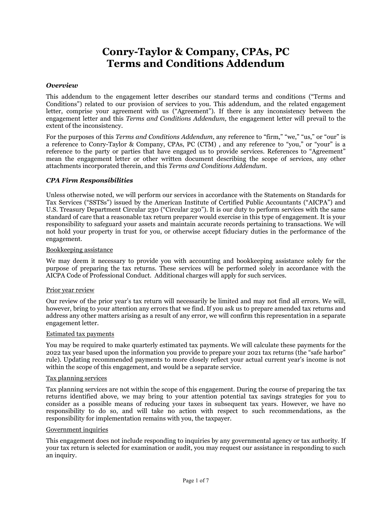# **Conry-Taylor & Company, CPAs, PC Terms and Conditions Addendum**

#### *Overview*

This addendum to the engagement letter describes our standard terms and conditions ("Terms and Conditions") related to our provision of services to you. This addendum, and the related engagement letter, comprise your agreement with us ("Agreement"). If there is any inconsistency between the engagement letter and this *Terms and Conditions Addendum*, the engagement letter will prevail to the extent of the inconsistency.

For the purposes of this *Terms and Conditions Addendum*, any reference to "firm," "we," "us," or "our" is a reference to Conry-Taylor & Company, CPAs, PC (CTM) , and any reference to "you," or "your" is a reference to the party or parties that have engaged us to provide services. References to "Agreement" mean the engagement letter or other written document describing the scope of services, any other attachments incorporated therein, and this *Terms and Conditions Addendum*.

## *CPA Firm Responsibilities*

Unless otherwise noted, we will perform our services in accordance with the Statements on Standards for Tax Services ("SSTSs") issued by the American Institute of Certified Public Accountants ("AICPA") and U.S. Treasury Department Circular 230 ("Circular 230"). It is our duty to perform services with the same standard of care that a reasonable tax return preparer would exercise in this type of engagement. It is your responsibility to safeguard your assets and maintain accurate records pertaining to transactions. We will not hold your property in trust for you, or otherwise accept fiduciary duties in the performance of the engagement.

## Bookkeeping assistance

We may deem it necessary to provide you with accounting and bookkeeping assistance solely for the purpose of preparing the tax returns. These services will be performed solely in accordance with the AICPA Code of Professional Conduct. Additional charges will apply for such services.

#### Prior year review

Our review of the prior year's tax return will necessarily be limited and may not find all errors. We will, however, bring to your attention any errors that we find. If you ask us to prepare amended tax returns and address any other matters arising as a result of any error, we will confirm this representation in a separate engagement letter.

#### Estimated tax payments

You may be required to make quarterly estimated tax payments. We will calculate these payments for the 2022 tax year based upon the information you provide to prepare your 2021 tax returns (the "safe harbor" rule). Updating recommended payments to more closely reflect your actual current year's income is not within the scope of this engagement, and would be a separate service.

#### Tax planning services

Tax planning services are not within the scope of this engagement. During the course of preparing the tax returns identified above, we may bring to your attention potential tax savings strategies for you to consider as a possible means of reducing your taxes in subsequent tax years. However, we have no responsibility to do so, and will take no action with respect to such recommendations, as the responsibility for implementation remains with you, the taxpayer.

#### Government inquiries

This engagement does not include responding to inquiries by any governmental agency or tax authority. If your tax return is selected for examination or audit, you may request our assistance in responding to such an inquiry.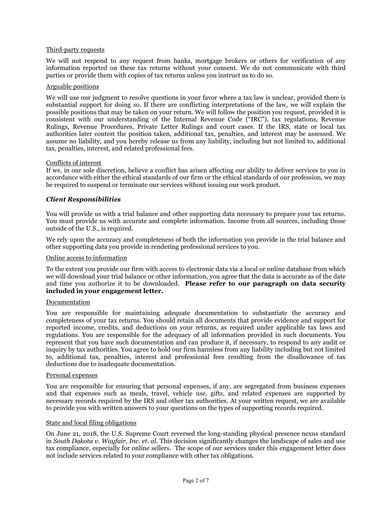## Third-party requests

We will not respond to any request from banks, mortgage brokers or others for verification of any information reported on these tax returns without your consent. We do not communicate with third parties or provide them with copies of tax returns unless you instruct us to do so.

## Arguable positions

We will use our judgment to resolve questions in your favor where a tax law is unclear, provided there is substantial support for doing so. If there are conflicting interpretations of the law, we will explain the possible positions that may be taken on your return. We will follow the position you request, provided it is consistent with our understanding of the Internal Revenue Code ("IRC"), tax regulations, Revenue Rulings, Revenue Procedures, Private Letter Rulings and court cases. If the IRS, state or local tax authorities later contest the position taken, additional tax, penalties, and interest may be assessed. We assume no liability, and you hereby release us from any liability, including but not limited to, additional tax, penalties, interest, and related professional fees.

## Conflicts of interest

If we, in our sole discretion, believe a conflict has arisen affecting our ability to deliver services to you in accordance with either the ethical standards of our firm or the ethical standards of our profession, we may be required to suspend or terminate our services without issuing our work product.

## *Client Responsibilities*

You will provide us with a trial balance and other supporting data necessary to prepare your tax returns. You must provide us with accurate and complete information. Income from all sources, including those outside of the U.S., is required.

We rely upon the accuracy and completeness of both the information you provide in the trial balance and other supporting data you provide in rendering professional services to you.

## Online access to information

To the extent you provide our firm with access to electronic data via a local or online database from which we will download your trial balance or other information, you agree that the data is accurate as of the date and time you authorize it to be downloaded. **Please refer to our paragraph on data security included in your engagement letter.**

## Documentation

You are responsible for maintaining adequate documentation to substantiate the accuracy and completeness of your tax returns. You should retain all documents that provide evidence and support for reported income, credits, and deductions on your returns, as required under applicable tax laws and regulations. You are responsible for the adequacy of all information provided in such documents. You represent that you have such documentation and can produce it, if necessary, to respond to any audit or inquiry by tax authorities. You agree to hold our firm harmless from any liability including but not limited to, additional tax, penalties, interest and professional fees resulting from the disallowance of tax deductions due to inadequate documentation.

## Personal expenses

You are responsible for ensuring that personal expenses, if any, are segregated from business expenses and that expenses such as meals, travel, vehicle use, gifts, and related expenses are supported by necessary records required by the IRS and other tax authorities. At your written request, we are available to provide you with written answers to your questions on the types of supporting records required.

## State and local filing obligations

On June 21, 2018, the U.S. Supreme Court reversed the long-standing physical presence nexus standard in *South Dakota v. Wayfair, Inc. et. al*. This decision significantly changes the landscape of sales and use tax compliance, especially for online sellers. The scope of our services under this engagement letter does not include services related to your compliance with other tax obligations.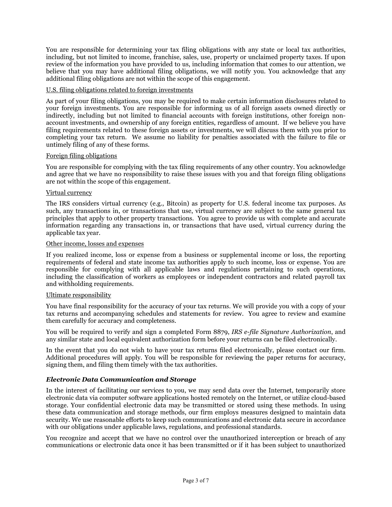You are responsible for determining your tax filing obligations with any state or local tax authorities, including, but not limited to income, franchise, sales, use, property or unclaimed property taxes. If upon review of the information you have provided to us, including information that comes to our attention, we believe that you may have additional filing obligations, we will notify you. You acknowledge that any additional filing obligations are not within the scope of this engagement.

## U.S. filing obligations related to foreign investments

As part of your filing obligations, you may be required to make certain information disclosures related to your foreign investments. You are responsible for informing us of all foreign assets owned directly or indirectly, including but not limited to financial accounts with foreign institutions, other foreign nonaccount investments, and ownership of any foreign entities, regardless of amount. If we believe you have filing requirements related to these foreign assets or investments, we will discuss them with you prior to completing your tax return. We assume no liability for penalties associated with the failure to file or untimely filing of any of these forms.

## Foreign filing obligations

You are responsible for complying with the tax filing requirements of any other country. You acknowledge and agree that we have no responsibility to raise these issues with you and that foreign filing obligations are not within the scope of this engagement.

## Virtual currency

The IRS considers virtual currency (e.g., Bitcoin) as property for U.S. federal income tax purposes. As such, any transactions in, or transactions that use, virtual currency are subject to the same general tax principles that apply to other property transactions. You agree to provide us with complete and accurate information regarding any transactions in, or transactions that have used, virtual currency during the applicable tax year.

## Other income, losses and expenses

If you realized income, loss or expense from a business or supplemental income or loss, the reporting requirements of federal and state income tax authorities apply to such income, loss or expense. You are responsible for complying with all applicable laws and regulations pertaining to such operations, including the classification of workers as employees or independent contractors and related payroll tax and withholding requirements.

## Ultimate responsibility

You have final responsibility for the accuracy of your tax returns. We will provide you with a copy of your tax returns and accompanying schedules and statements for review. You agree to review and examine them carefully for accuracy and completeness.

You will be required to verify and sign a completed Form 8879, *IRS e-file Signature Authorization*, and any similar state and local equivalent authorization form before your returns can be filed electronically.

In the event that you do not wish to have your tax returns filed electronically, please contact our firm. Additional procedures will apply. You will be responsible for reviewing the paper returns for accuracy, signing them, and filing them timely with the tax authorities.

## *Electronic Data Communication and Storage*

In the interest of facilitating our services to you, we may send data over the Internet, temporarily store electronic data via computer software applications hosted remotely on the Internet, or utilize cloud-based storage. Your confidential electronic data may be transmitted or stored using these methods. In using these data communication and storage methods, our firm employs measures designed to maintain data security. We use reasonable efforts to keep such communications and electronic data secure in accordance with our obligations under applicable laws, regulations, and professional standards.

You recognize and accept that we have no control over the unauthorized interception or breach of any communications or electronic data once it has been transmitted or if it has been subject to unauthorized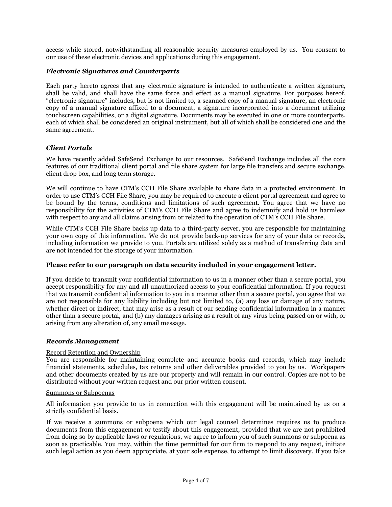access while stored, notwithstanding all reasonable security measures employed by us. You consent to our use of these electronic devices and applications during this engagement.

## *Electronic Signatures and Counterparts*

Each party hereto agrees that any electronic signature is intended to authenticate a written signature, shall be valid, and shall have the same force and effect as a manual signature. For purposes hereof, "electronic signature" includes, but is not limited to, a scanned copy of a manual signature, an electronic copy of a manual signature affixed to a document, a signature incorporated into a document utilizing touchscreen capabilities, or a digital signature. Documents may be executed in one or more counterparts, each of which shall be considered an original instrument, but all of which shall be considered one and the same agreement.

## *Client Portals*

We have recently added SafeSend Exchange to our resources. SafeSend Exchange includes all the core features of our traditional client portal and file share system for large file transfers and secure exchange, client drop box, and long term storage.

We will continue to have CTM's CCH File Share available to share data in a protected environment. In order to use CTM's CCH File Share, you may be required to execute a client portal agreement and agree to be bound by the terms, conditions and limitations of such agreement. You agree that we have no responsibility for the activities of CTM's CCH File Share and agree to indemnify and hold us harmless with respect to any and all claims arising from or related to the operation of CTM's CCH File Share.

While CTM's CCH File Share backs up data to a third-party server, you are responsible for maintaining your own copy of this information. We do not provide back-up services for any of your data or records, including information we provide to you. Portals are utilized solely as a method of transferring data and are not intended for the storage of your information.

## **Please refer to our paragraph on data security included in your engagement letter.**

If you decide to transmit your confidential information to us in a manner other than a secure portal, you accept responsibility for any and all unauthorized access to your confidential information. If you request that we transmit confidential information to you in a manner other than a secure portal, you agree that we are not responsible for any liability including but not limited to, (a) any loss or damage of any nature, whether direct or indirect, that may arise as a result of our sending confidential information in a manner other than a secure portal, and (b) any damages arising as a result of any virus being passed on or with, or arising from any alteration of, any email message.

## *Records Management*

## Record Retention and Ownership

You are responsible for maintaining complete and accurate books and records, which may include financial statements, schedules, tax returns and other deliverables provided to you by us. Workpapers and other documents created by us are our property and will remain in our control. Copies are not to be distributed without your written request and our prior written consent.

## Summons or Subpoenas

All information you provide to us in connection with this engagement will be maintained by us on a strictly confidential basis.

If we receive a summons or subpoena which our legal counsel determines requires us to produce documents from this engagement or testify about this engagement, provided that we are not prohibited from doing so by applicable laws or regulations, we agree to inform you of such summons or subpoena as soon as practicable. You may, within the time permitted for our firm to respond to any request, initiate such legal action as you deem appropriate, at your sole expense, to attempt to limit discovery. If you take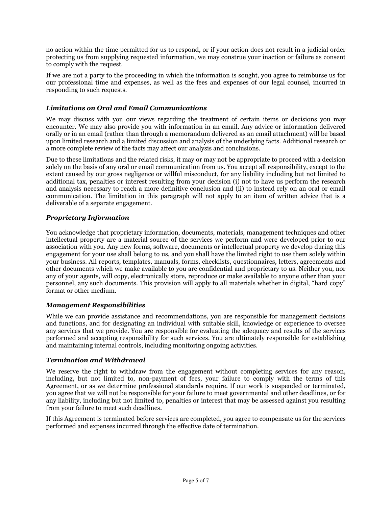no action within the time permitted for us to respond, or if your action does not result in a judicial order protecting us from supplying requested information, we may construe your inaction or failure as consent to comply with the request.

If we are not a party to the proceeding in which the information is sought, you agree to reimburse us for our professional time and expenses, as well as the fees and expenses of our legal counsel, incurred in responding to such requests.

# *Limitations on Oral and Email Communications*

We may discuss with you our views regarding the treatment of certain items or decisions you may encounter. We may also provide you with information in an email. Any advice or information delivered orally or in an email (rather than through a memorandum delivered as an email attachment) will be based upon limited research and a limited discussion and analysis of the underlying facts. Additional research or a more complete review of the facts may affect our analysis and conclusions.

Due to these limitations and the related risks, it may or may not be appropriate to proceed with a decision solely on the basis of any oral or email communication from us. You accept all responsibility, except to the extent caused by our gross negligence or willful misconduct, for any liability including but not limited to additional tax, penalties or interest resulting from your decision (i) not to have us perform the research and analysis necessary to reach a more definitive conclusion and (ii) to instead rely on an oral or email communication. The limitation in this paragraph will not apply to an item of written advice that is a deliverable of a separate engagement.

# *Proprietary Information*

You acknowledge that proprietary information, documents, materials, management techniques and other intellectual property are a material source of the services we perform and were developed prior to our association with you. Any new forms, software, documents or intellectual property we develop during this engagement for your use shall belong to us, and you shall have the limited right to use them solely within your business. All reports, templates, manuals, forms, checklists, questionnaires, letters, agreements and other documents which we make available to you are confidential and proprietary to us. Neither you, nor any of your agents, will copy, electronically store, reproduce or make available to anyone other than your personnel, any such documents. This provision will apply to all materials whether in digital, "hard copy" format or other medium.

## *Management Responsibilities*

While we can provide assistance and recommendations, you are responsible for management decisions and functions, and for designating an individual with suitable skill, knowledge or experience to oversee any services that we provide. You are responsible for evaluating the adequacy and results of the services performed and accepting responsibility for such services. You are ultimately responsible for establishing and maintaining internal controls, including monitoring ongoing activities.

## *Termination and Withdrawal*

We reserve the right to withdraw from the engagement without completing services for any reason, including, but not limited to, non-payment of fees, your failure to comply with the terms of this Agreement, or as we determine professional standards require. If our work is suspended or terminated, you agree that we will not be responsible for your failure to meet governmental and other deadlines, or for any liability, including but not limited to, penalties or interest that may be assessed against you resulting from your failure to meet such deadlines.

If this Agreement is terminated before services are completed, you agree to compensate us for the services performed and expenses incurred through the effective date of termination.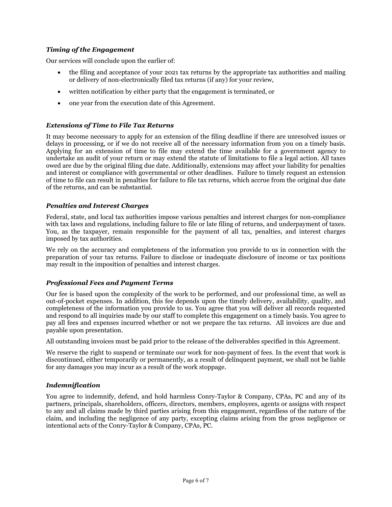# *Timing of the Engagement*

Our services will conclude upon the earlier of:

- the filing and acceptance of your 2021 tax returns by the appropriate tax authorities and mailing or delivery of non-electronically filed tax returns (if any) for your review,
- written notification by either party that the engagement is terminated, or
- one year from the execution date of this Agreement.

## *Extensions of Time to File Tax Returns*

It may become necessary to apply for an extension of the filing deadline if there are unresolved issues or delays in processing, or if we do not receive all of the necessary information from you on a timely basis. Applying for an extension of time to file may extend the time available for a government agency to undertake an audit of your return or may extend the statute of limitations to file a legal action. All taxes owed are due by the original filing due date. Additionally, extensions may affect your liability for penalties and interest or compliance with governmental or other deadlines. Failure to timely request an extension of time to file can result in penalties for failure to file tax returns, which accrue from the original due date of the returns, and can be substantial.

## *Penalties and Interest Charges*

Federal, state, and local tax authorities impose various penalties and interest charges for non-compliance with tax laws and regulations, including failure to file or late filing of returns, and underpayment of taxes. You, as the taxpayer, remain responsible for the payment of all tax, penalties, and interest charges imposed by tax authorities.

We rely on the accuracy and completeness of the information you provide to us in connection with the preparation of your tax returns. Failure to disclose or inadequate disclosure of income or tax positions may result in the imposition of penalties and interest charges.

## *Professional Fees and Payment Terms*

Our fee is based upon the complexity of the work to be performed, and our professional time, as well as out-of-pocket expenses. In addition, this fee depends upon the timely delivery, availability, quality, and completeness of the information you provide to us. You agree that you will deliver all records requested and respond to all inquiries made by our staff to complete this engagement on a timely basis. You agree to pay all fees and expenses incurred whether or not we prepare the tax returns. All invoices are due and payable upon presentation.

All outstanding invoices must be paid prior to the release of the deliverables specified in this Agreement.

We reserve the right to suspend or terminate our work for non-payment of fees. In the event that work is discontinued, either temporarily or permanently, as a result of delinquent payment, we shall not be liable for any damages you may incur as a result of the work stoppage.

## *Indemnification*

You agree to indemnify, defend, and hold harmless Conry-Taylor & Company, CPAs, PC and any of its partners, principals, shareholders, officers, directors, members, employees, agents or assigns with respect to any and all claims made by third parties arising from this engagement, regardless of the nature of the claim, and including the negligence of any party, excepting claims arising from the gross negligence or intentional acts of the Conry-Taylor & Company, CPAs, PC.